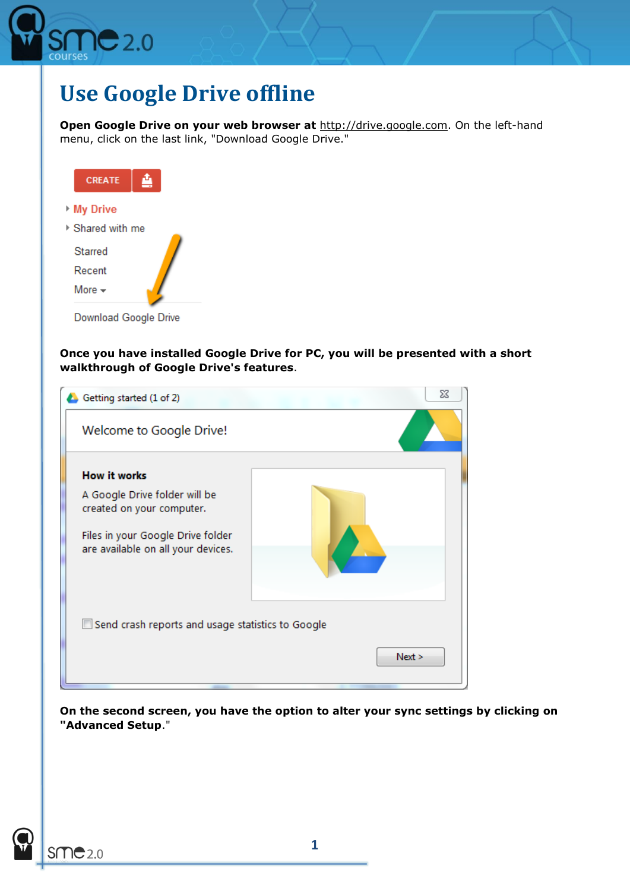

## **Use Google Drive offline**

**Open Google Drive on your web browser at [http://drive.google.com.](http://drive.google.com/)** On the left-hand menu, click on the last link, "Download Google Drive."



Download Google Drive

**Once you have installed Google Drive for PC, you will be presented with a short walkthrough of Google Drive's features**.

| Getting started (1 of 2)                                                | X      |
|-------------------------------------------------------------------------|--------|
| Welcome to Google Drive!                                                |        |
| How it works                                                            |        |
| A Google Drive folder will be<br>created on your computer.              |        |
| Files in your Google Drive folder<br>are available on all your devices. |        |
| Send crash reports and usage statistics to Google                       | Next > |
|                                                                         |        |

**On the second screen, you have the option to alter your sync settings by clicking on "Advanced Setup**."

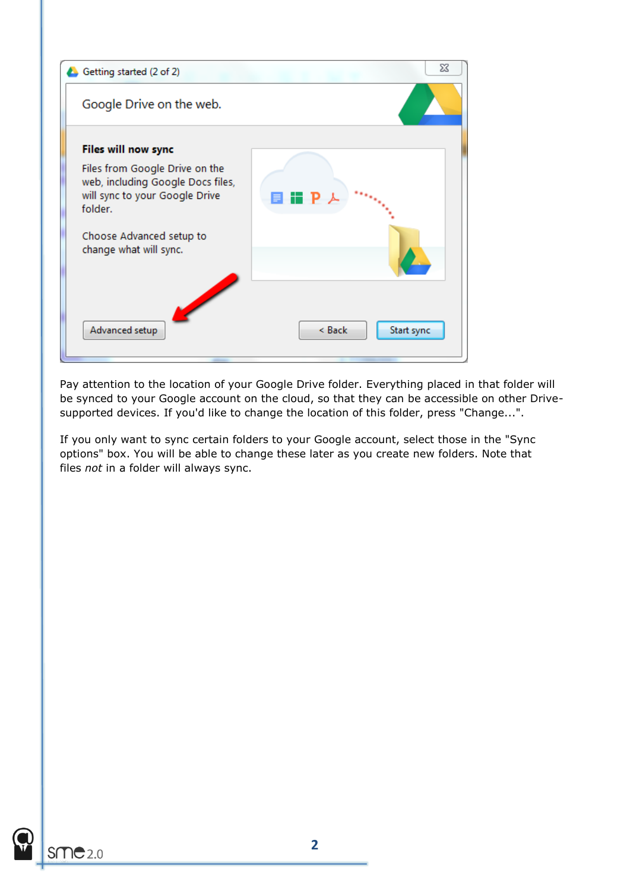

Pay attention to the location of your Google Drive folder. Everything placed in that folder will be synced to your Google account on the cloud, so that they can be accessible on other Drivesupported devices. If you'd like to change the location of this folder, press "Change...".

If you only want to sync certain folders to your Google account, select those in the "Sync options" box. You will be able to change these later as you create new folders. Note that files *not* in a folder will always sync.

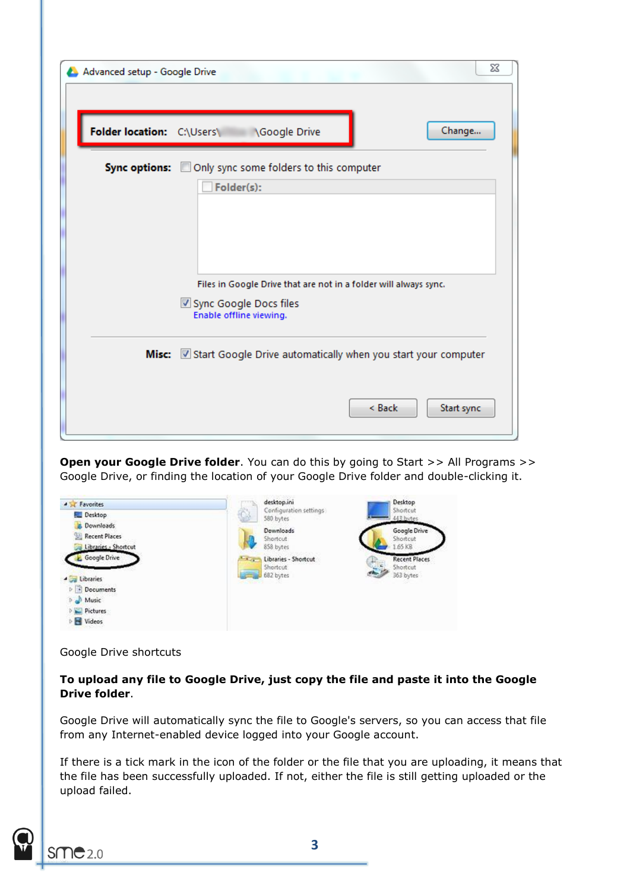| Advanced setup - Google Drive | ⅏                                                                                                                                       |
|-------------------------------|-----------------------------------------------------------------------------------------------------------------------------------------|
| Folder location: C:\Users\    | Change<br>Google Drive                                                                                                                  |
|                               | Sync options: Only sync some folders to this computer<br>Folder(s):<br>Files in Google Drive that are not in a folder will always sync. |
|                               | Sync Google Docs files<br>Enable offline viewing.                                                                                       |
|                               | Misc: Start Google Drive automatically when you start your computer                                                                     |
|                               | $\leq$ Back<br>Start sync                                                                                                               |

**Open your Google Drive folder**. You can do this by going to Start >> All Programs >> Google Drive, or finding the location of your Google Drive folder and double-clicking it.



Google Drive shortcuts

## **To upload any file to Google Drive, just copy the file and paste it into the Google Drive folder**.

Google Drive will automatically sync the file to Google's servers, so you can access that file from any Internet-enabled device logged into your Google account.

If there is a tick mark in the icon of the folder or the file that you are uploading, it means that the file has been successfully uploaded. If not, either the file is still getting uploaded or the upload failed.